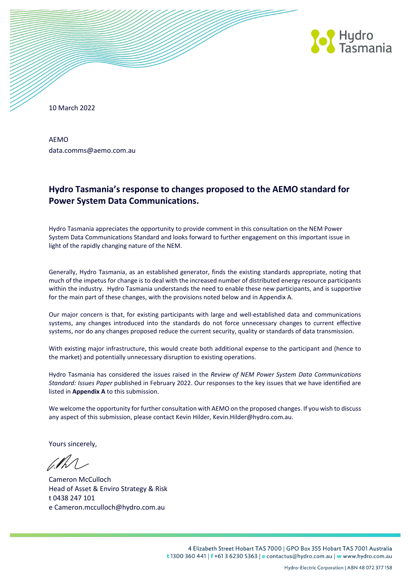

10 March 2022

AEMO data.comms@aemo.com.au

# **Hydro Tasmania's response to changes proposed to the AEMO standard for Power System Data Communications.**

Hydro Tasmania appreciates the opportunity to provide comment in this consultation on the NEM Power System Data Communications Standard and looks forward to further engagement on this important issue in light of the rapidly changing nature of the NEM.

Generally, Hydro Tasmania, as an established generator, finds the existing standards appropriate, noting that much of the impetus for change is to deal with the increased number of distributed energy resource participants within the industry. Hydro Tasmania understands the need to enable these new participants, and is supportive for the main part of these changes, with the provisions noted below and in Appendix A.

Our major concern is that, for existing participants with large and well-established data and communications systems, any changes introduced into the standards do not force unnecessary changes to current effective systems, nor do any changes proposed reduce the current security, quality or standards of data transmission.

With existing major infrastructure, this would create both additional expense to the participant and (hence to the market) and potentially unnecessary disruption to existing operations.

Hydro Tasmania has considered the issues raised in the *Review of NEM Power System Data Communications Standard: Issues Paper* published in February 2022. Our responses to the key issues that we have identified are listed in **Appendix A** to this submission.

We welcome the opportunity for further consultation with AEMO on the proposed changes. If you wish to discuss any aspect of this submission, please contact Kevin Hilder, Kevin.Hilder@hydro.com.au.

Yours sincerely,

alh

Cameron McCulloch Head of Asset & Enviro Strategy & Risk t 0438 247 101 e Cameron.mcculloch@hydro.com.au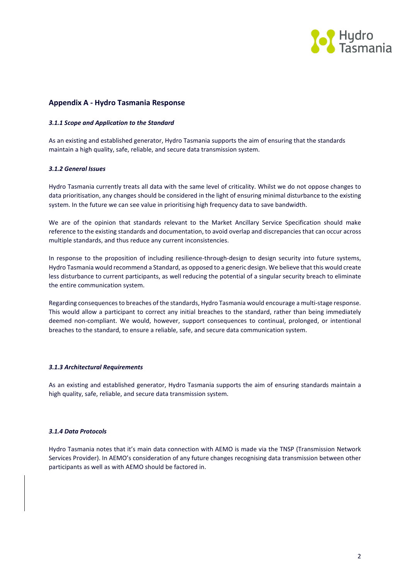

# **Appendix A - Hydro Tasmania Response**

### *3.1.1 Scope and Application to the Standard*

As an existing and established generator, Hydro Tasmania supports the aim of ensuring that the standards maintain a high quality, safe, reliable, and secure data transmission system.

# *3.1.2 General Issues*

Hydro Tasmania currently treats all data with the same level of criticality. Whilst we do not oppose changes to data prioritisation, any changes should be considered in the light of ensuring minimal disturbance to the existing system. In the future we can see value in prioritising high frequency data to save bandwidth.

We are of the opinion that standards relevant to the Market Ancillary Service Specification should make reference to the existing standards and documentation, to avoid overlap and discrepancies that can occur across multiple standards, and thus reduce any current inconsistencies.

In response to the proposition of including resilience-through-design to design security into future systems, Hydro Tasmania would recommend a Standard, as opposed to a generic design. We believe that this would create less disturbance to current participants, as well reducing the potential of a singular security breach to eliminate the entire communication system.

Regarding consequences to breaches of the standards, Hydro Tasmania would encourage a multi-stage response. This would allow a participant to correct any initial breaches to the standard, rather than being immediately deemed non-compliant. We would, however, support consequences to continual, prolonged, or intentional breaches to the standard, to ensure a reliable, safe, and secure data communication system.

#### *3.1.3 Architectural Requirements*

As an existing and established generator, Hydro Tasmania supports the aim of ensuring standards maintain a high quality, safe, reliable, and secure data transmission system.

#### *3.1.4 Data Protocols*

Hydro Tasmania notes that it's main data connection with AEMO is made via the TNSP (Transmission Network Services Provider). In AEMO's consideration of any future changes recognising data transmission between other participants as well as with AEMO should be factored in.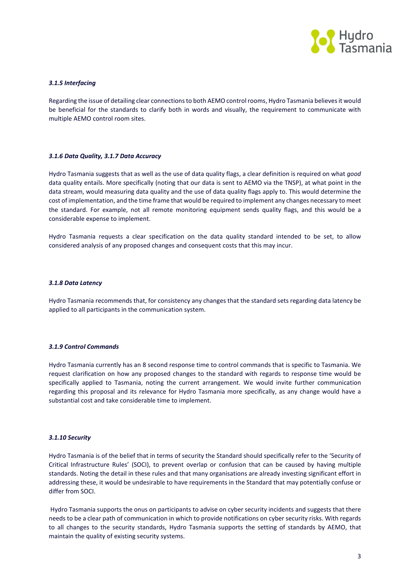

# *3.1.5 Interfacing*

Regarding the issue of detailing clear connections to both AEMO control rooms, Hydro Tasmania believes it would be beneficial for the standards to clarify both in words and visually, the requirement to communicate with multiple AEMO control room sites.

#### *3.1.6 Data Quality, 3.1.7 Data Accuracy*

Hydro Tasmania suggests that as well as the use of data quality flags, a clear definition is required on what *good* data quality entails. More specifically (noting that our data is sent to AEMO via the TNSP), at what point in the data stream, would measuring data quality and the use of data quality flags apply to. This would determine the cost of implementation, and the time frame that would be required to implement any changes necessary to meet the standard. For example, not all remote monitoring equipment sends quality flags, and this would be a considerable expense to implement.

Hydro Tasmania requests a clear specification on the data quality standard intended to be set, to allow considered analysis of any proposed changes and consequent costs that this may incur.

#### *3.1.8 Data Latency*

Hydro Tasmania recommends that, for consistency any changes that the standard sets regarding data latency be applied to all participants in the communication system.

#### *3.1.9 Control Commands*

Hydro Tasmania currently has an 8 second response time to control commands that is specific to Tasmania. We request clarification on how any proposed changes to the standard with regards to response time would be specifically applied to Tasmania, noting the current arrangement. We would invite further communication regarding this proposal and its relevance for Hydro Tasmania more specifically, as any change would have a substantial cost and take considerable time to implement.

#### *3.1.10 Security*

Hydro Tasmania is of the belief that in terms of security the Standard should specifically refer to the 'Security of Critical Infrastructure Rules' (SOCI), to prevent overlap or confusion that can be caused by having multiple standards. Noting the detail in these rules and that many organisations are already investing significant effort in addressing these, it would be undesirable to have requirements in the Standard that may potentially confuse or differ from SOCI.

Hydro Tasmania supports the onus on participants to advise on cyber security incidents and suggests that there needs to be a clear path of communication in which to provide notifications on cyber security risks. With regards to all changes to the security standards, Hydro Tasmania supports the setting of standards by AEMO, that maintain the quality of existing security systems.